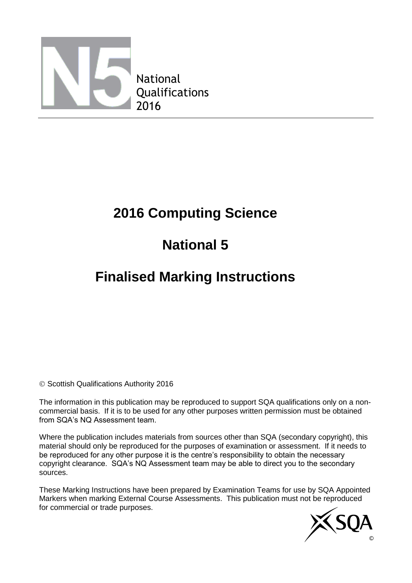

# **2016 Computing Science**

## **National 5**

### **Finalised Marking Instructions**

Scottish Qualifications Authority 2016

The information in this publication may be reproduced to support SQA qualifications only on a noncommercial basis. If it is to be used for any other purposes written permission must be obtained from SQA's NQ Assessment team.

Where the publication includes materials from sources other than SQA (secondary copyright), this material should only be reproduced for the purposes of examination or assessment. If it needs to be reproduced for any other purpose it is the centre's responsibility to obtain the necessary copyright clearance. SQA's NQ Assessment team may be able to direct you to the secondary sources.

These Marking Instructions have been prepared by Examination Teams for use by SQA Appointed Markers when marking External Course Assessments. This publication must not be reproduced for commercial or trade purposes.

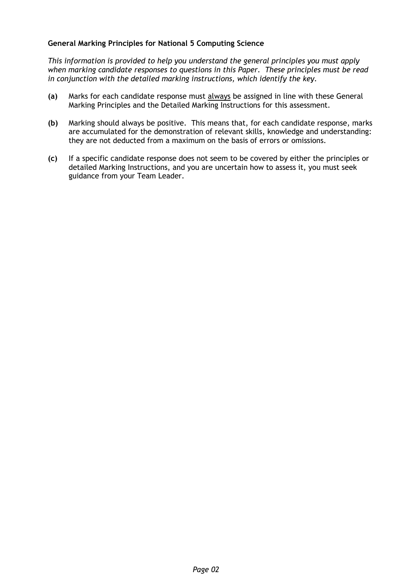#### **General Marking Principles for National 5 Computing Science**

*This information is provided to help you understand the general principles you must apply when marking candidate responses to questions in this Paper. These principles must be read in conjunction with the detailed marking instructions, which identify the key.*

- **(a)** Marks for each candidate response must always be assigned in line with these General Marking Principles and the Detailed Marking Instructions for this assessment.
- **(b)** Marking should always be positive. This means that, for each candidate response, marks are accumulated for the demonstration of relevant skills, knowledge and understanding: they are not deducted from a maximum on the basis of errors or omissions.
- **(c)** If a specific candidate response does not seem to be covered by either the principles or detailed Marking Instructions, and you are uncertain how to assess it, you must seek guidance from your Team Leader.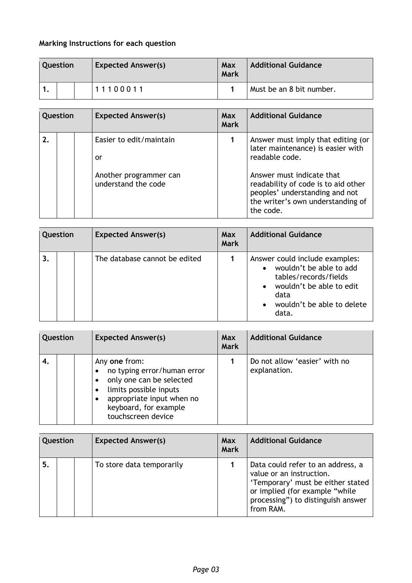### **Marking Instructions for each question**

| Question |  |  | <b>Expected Answer(s)</b> | Max<br>Mark | <b>Additional Guidance</b> |
|----------|--|--|---------------------------|-------------|----------------------------|
|          |  |  | 11100011                  |             | Must be an 8 bit number.   |

| <b>Additional Guidance</b><br><b>Expected Answer(s)</b><br>Question<br>Max<br><b>Mark</b>                                                                                                                                                                                                                              |  |
|------------------------------------------------------------------------------------------------------------------------------------------------------------------------------------------------------------------------------------------------------------------------------------------------------------------------|--|
| Easier to edit/maintain<br>Answer must imply that editing (or<br>later maintenance) is easier with<br>readable code.<br>or<br>Answer must indicate that<br>Another programmer can<br>understand the code<br>readability of code is to aid other<br>peoples' understanding and not<br>the writer's own understanding of |  |

| Question |  | <b>Expected Answer(s)</b>     | Max<br><b>Mark</b> | <b>Additional Guidance</b>                                                                                                                                    |
|----------|--|-------------------------------|--------------------|---------------------------------------------------------------------------------------------------------------------------------------------------------------|
| 3.       |  | The database cannot be edited |                    | Answer could include examples:<br>wouldn't be able to add<br>tables/records/fields<br>wouldn't be able to edit<br>data<br>wouldn't be able to delete<br>data. |

| Question |  |  | <b>Expected Answer(s)</b>                                                                                                                                                      | Max<br><b>Mark</b> | <b>Additional Guidance</b>                    |
|----------|--|--|--------------------------------------------------------------------------------------------------------------------------------------------------------------------------------|--------------------|-----------------------------------------------|
| 4.       |  |  | Any one from:<br>no typing error/human error<br>only one can be selected<br>limits possible inputs<br>appropriate input when no<br>keyboard, for example<br>touchscreen device |                    | Do not allow 'easier' with no<br>explanation. |

|    | Question |  | <b>Expected Answer(s)</b> | Max<br><b>Mark</b> | <b>Additional Guidance</b>                                                                                                                                                              |
|----|----------|--|---------------------------|--------------------|-----------------------------------------------------------------------------------------------------------------------------------------------------------------------------------------|
| 5. |          |  | To store data temporarily |                    | Data could refer to an address, a<br>value or an instruction.<br>'Temporary' must be either stated<br>or implied (for example "while<br>processing") to distinguish answer<br>from RAM. |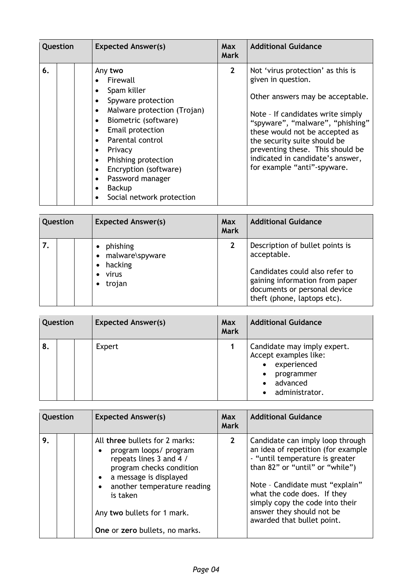| Question | <b>Expected Answer(s)</b>                                                                                                                                                                                                                                                                              | <b>Max</b><br>Mark | <b>Additional Guidance</b>                                                                                                                                                                                                                                                                                                                    |
|----------|--------------------------------------------------------------------------------------------------------------------------------------------------------------------------------------------------------------------------------------------------------------------------------------------------------|--------------------|-----------------------------------------------------------------------------------------------------------------------------------------------------------------------------------------------------------------------------------------------------------------------------------------------------------------------------------------------|
| 6.       | Any two<br>Firewall<br>Spam killer<br>Spyware protection<br>Malware protection (Trojan)<br>$\bullet$<br>Biometric (software)<br>Email protection<br>Parental control<br>Privacy<br>٠<br>Phishing protection<br>Encryption (software)<br>Password manager<br><b>Backup</b><br>Social network protection | $\overline{2}$     | Not 'virus protection' as this is<br>given in question.<br>Other answers may be acceptable.<br>Note - If candidates write simply<br>"spyware", "malware", "phishing"<br>these would not be accepted as<br>the security suite should be<br>preventing these. This should be<br>indicated in candidate's answer,<br>for example "anti"-spyware. |

| Question |  | <b>Expected Answer(s)</b>                                                             | Max<br><b>Mark</b> | <b>Additional Guidance</b>                                                                                                                                                        |
|----------|--|---------------------------------------------------------------------------------------|--------------------|-----------------------------------------------------------------------------------------------------------------------------------------------------------------------------------|
|          |  | phishing<br>• malware\spyware<br>hacking<br>$\bullet$<br>virus<br>trojan<br>$\bullet$ | $\mathbf{2}$       | Description of bullet points is<br>acceptable.<br>Candidates could also refer to<br>gaining information from paper<br>documents or personal device<br>theft (phone, laptops etc). |

| Question |  | <b>Expected Answer(s)</b> | Max<br><b>Mark</b> | <b>Additional Guidance</b>                                                                                                                     |
|----------|--|---------------------------|--------------------|------------------------------------------------------------------------------------------------------------------------------------------------|
| 8.       |  | Expert                    |                    | Candidate may imply expert.<br>Accept examples like:<br>experienced<br>$\bullet$<br>programmer<br>٠<br>advanced<br>$\bullet$<br>administrator. |

| Question |  | <b>Expected Answer(s)</b>                                                                                                                                                                                                                             | <b>Max</b><br><b>Mark</b> | <b>Additional Guidance</b>                                                                                                                                                                                                                                                                                   |
|----------|--|-------------------------------------------------------------------------------------------------------------------------------------------------------------------------------------------------------------------------------------------------------|---------------------------|--------------------------------------------------------------------------------------------------------------------------------------------------------------------------------------------------------------------------------------------------------------------------------------------------------------|
| 9.       |  | All three bullets for 2 marks:<br>program loops/ program<br>repeats lines 3 and 4 /<br>program checks condition<br>a message is displayed<br>another temperature reading<br>is taken<br>Any two bullets for 1 mark.<br>One or zero bullets, no marks. | $2^{\circ}$               | Candidate can imply loop through<br>an idea of repetition (for example<br>- "until temperature is greater<br>than 82" or "until" or "while")<br>Note - Candidate must "explain"<br>what the code does. If they<br>simply copy the code into their<br>answer they should not be<br>awarded that bullet point. |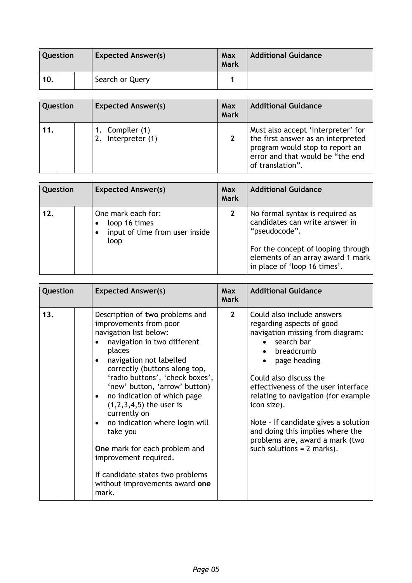| <b>Question</b> |  |  | <b>Expected Answer(s)</b> | Max<br>Mark | <b>Additional Guidance</b> |
|-----------------|--|--|---------------------------|-------------|----------------------------|
| 10.             |  |  | Search or Query           |             |                            |

|     | Question | <b>Expected Answer(s)</b>                | Max<br><b>Mark</b> | <b>Additional Guidance</b>                                                                                                                                          |
|-----|----------|------------------------------------------|--------------------|---------------------------------------------------------------------------------------------------------------------------------------------------------------------|
| 11. |          | 1. Compiler (1)<br>Interpreter (1)<br>2. |                    | Must also accept 'Interpreter' for<br>the first answer as an interpreted<br>program would stop to report an<br>error and that would be "the end<br>of translation". |

| Question |  | <b>Expected Answer(s)</b>                                                     | Max<br><b>Mark</b> | <b>Additional Guidance</b>                                                                                                                                                                    |
|----------|--|-------------------------------------------------------------------------------|--------------------|-----------------------------------------------------------------------------------------------------------------------------------------------------------------------------------------------|
| 12.      |  | One mark each for:<br>loop 16 times<br>input of time from user inside<br>loop |                    | No formal syntax is required as<br>candidates can write answer in<br>"pseudocode".<br>For the concept of looping through<br>elements of an array award 1 mark<br>in place of 'loop 16 times'. |

| Question |  | <b>Expected Answer(s)</b>                                                                                                                                                                                                                                                                                                                                                                                                                                                                                                                                 | <b>Max</b><br><b>Mark</b> | <b>Additional Guidance</b>                                                                                                                                                                                                                                                                                                                                                                                    |
|----------|--|-----------------------------------------------------------------------------------------------------------------------------------------------------------------------------------------------------------------------------------------------------------------------------------------------------------------------------------------------------------------------------------------------------------------------------------------------------------------------------------------------------------------------------------------------------------|---------------------------|---------------------------------------------------------------------------------------------------------------------------------------------------------------------------------------------------------------------------------------------------------------------------------------------------------------------------------------------------------------------------------------------------------------|
| 13.      |  | Description of two problems and<br>improvements from poor<br>navigation list below:<br>navigation in two different<br>places<br>navigation not labelled<br>$\bullet$<br>correctly (buttons along top,<br>'radio buttons', 'check boxes',<br>'new' button, 'arrow' button)<br>no indication of which page<br>$\bullet$<br>$(1,2,3,4,5)$ the user is<br>currently on<br>no indication where login will<br>take you<br>One mark for each problem and<br>improvement required.<br>If candidate states two problems<br>without improvements award one<br>mark. | $2^{\circ}$               | Could also include answers<br>regarding aspects of good<br>navigation missing from diagram:<br>search bar<br>breadcrumb<br>page heading<br>Could also discuss the<br>effectiveness of the user interface<br>relating to navigation (for example<br>icon size).<br>Note - If candidate gives a solution<br>and doing this implies where the<br>problems are, award a mark (two<br>such solutions = $2$ marks). |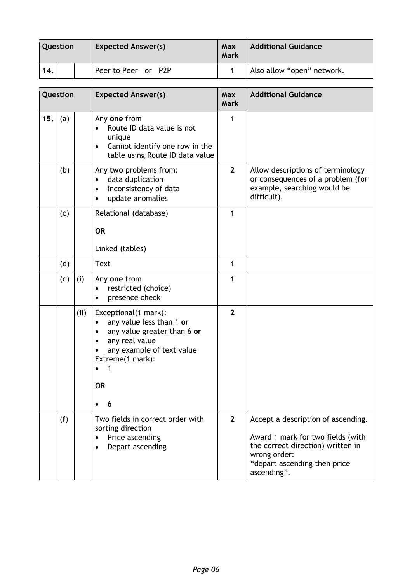| <b>Question</b> |  |  | <b>Expected Answer(s)</b> | Max<br><b>Mark</b> | <b>Additional Guidance</b> |
|-----------------|--|--|---------------------------|--------------------|----------------------------|
| 14.             |  |  | Peer to Peer or P2P       |                    | Also allow "open" network. |

|     | Question |      | <b>Expected Answer(s)</b>                                                                                                                                                                   | <b>Max</b><br><b>Mark</b> | <b>Additional Guidance</b>                                                                                                                                                  |
|-----|----------|------|---------------------------------------------------------------------------------------------------------------------------------------------------------------------------------------------|---------------------------|-----------------------------------------------------------------------------------------------------------------------------------------------------------------------------|
| 15. | (a)      |      | Any one from<br>Route ID data value is not<br>unique<br>Cannot identify one row in the<br>$\bullet$<br>table using Route ID data value                                                      | 1                         |                                                                                                                                                                             |
|     | (b)      |      | Any two problems from:<br>data duplication<br>$\bullet$<br>inconsistency of data<br>٠<br>update anomalies<br>$\bullet$                                                                      | $\overline{2}$            | Allow descriptions of terminology<br>or consequences of a problem (for<br>example, searching would be<br>difficult).                                                        |
|     | (c)      |      | Relational (database)<br><b>OR</b><br>Linked (tables)                                                                                                                                       | 1                         |                                                                                                                                                                             |
|     | (d)      |      | <b>Text</b>                                                                                                                                                                                 | 1                         |                                                                                                                                                                             |
|     | (e)      | (i)  | Any one from<br>restricted (choice)<br>presence check                                                                                                                                       | 1                         |                                                                                                                                                                             |
|     |          | (ii) | Exceptional(1 mark):<br>any value less than 1 or<br>$\bullet$<br>any value greater than 6 or<br>٠<br>any real value<br>any example of text value<br>Extreme(1 mark):<br>1<br><b>OR</b><br>6 | $\overline{2}$            |                                                                                                                                                                             |
|     | (f)      |      | Two fields in correct order with<br>sorting direction<br>Price ascending<br>Depart ascending                                                                                                | $\overline{2}$            | Accept a description of ascending.<br>Award 1 mark for two fields (with<br>the correct direction) written in<br>wrong order:<br>"depart ascending then price<br>ascending". |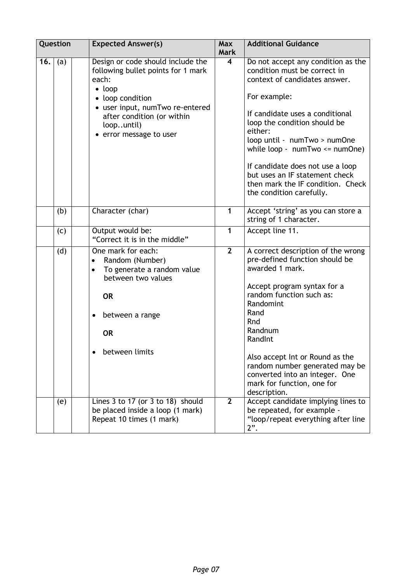| Question |     | <b>Expected Answer(s)</b>                                                                                                                                                                                                      | <b>Max</b><br><b>Mark</b> | <b>Additional Guidance</b>                                                                                                                                                                                                                                                                                                                                                                                     |
|----------|-----|--------------------------------------------------------------------------------------------------------------------------------------------------------------------------------------------------------------------------------|---------------------------|----------------------------------------------------------------------------------------------------------------------------------------------------------------------------------------------------------------------------------------------------------------------------------------------------------------------------------------------------------------------------------------------------------------|
| 16.      | (a) | Design or code should include the<br>following bullet points for 1 mark<br>each:<br>$\bullet$ loop<br>• loop condition<br>• user input, numTwo re-entered<br>after condition (or within<br>loopuntil)<br>error message to user | $\overline{\mathbf{4}}$   | Do not accept any condition as the<br>condition must be correct in<br>context of candidates answer.<br>For example:<br>If candidate uses a conditional<br>loop the condition should be<br>either:<br>loop until - numTwo > numOne<br>while loop - $numTwo \leq numOne)$<br>If candidate does not use a loop<br>but uses an IF statement check<br>then mark the IF condition. Check<br>the condition carefully. |
|          | (b) | Character (char)                                                                                                                                                                                                               | 1                         | Accept 'string' as you can store a<br>string of 1 character.                                                                                                                                                                                                                                                                                                                                                   |
|          | (c) | Output would be:<br>"Correct it is in the middle"                                                                                                                                                                              | $\overline{1}$            | Accept line 11.                                                                                                                                                                                                                                                                                                                                                                                                |
|          | (d) | One mark for each:<br>Random (Number)<br>To generate a random value<br>between two values<br><b>OR</b><br>between a range<br><b>OR</b><br>between limits                                                                       | $\overline{2}$            | A correct description of the wrong<br>pre-defined function should be<br>awarded 1 mark.<br>Accept program syntax for a<br>random function such as:<br>Randomint<br>Rand<br>Rnd<br>Randnum<br>RandInt<br>Also accept Int or Round as the<br>random number generated may be<br>converted into an integer. One<br>mark for function, one for<br>description.                                                      |
|          | (e) | Lines 3 to 17 (or 3 to 18) should<br>be placed inside a loop (1 mark)<br>Repeat 10 times (1 mark)                                                                                                                              | $\overline{2}$            | Accept candidate implying lines to<br>be repeated, for example -<br>"loop/repeat everything after line<br>$2$ ".                                                                                                                                                                                                                                                                                               |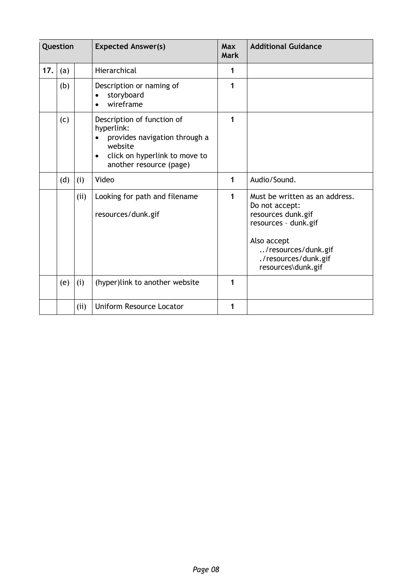| Question |     |      | <b>Expected Answer(s)</b>                                                                                                                                     | <b>Max</b><br><b>Mark</b> | <b>Additional Guidance</b>                                                                                                                                                         |
|----------|-----|------|---------------------------------------------------------------------------------------------------------------------------------------------------------------|---------------------------|------------------------------------------------------------------------------------------------------------------------------------------------------------------------------------|
| 17.      | (a) |      | Hierarchical                                                                                                                                                  | 1                         |                                                                                                                                                                                    |
|          | (b) |      | Description or naming of<br>storyboard<br>$\bullet$<br>wireframe                                                                                              | 1                         |                                                                                                                                                                                    |
|          | (c) |      | Description of function of<br>hyperlink:<br>provides navigation through a<br>website<br>click on hyperlink to move to<br>$\bullet$<br>another resource (page) | 1                         |                                                                                                                                                                                    |
|          | (d) | (i)  | Video                                                                                                                                                         | 1                         | Audio/Sound.                                                                                                                                                                       |
|          |     | (i)  | Looking for path and filename<br>resources/dunk.gif                                                                                                           | 1                         | Must be written as an address.<br>Do not accept:<br>resources dunk.gif<br>resources - dunk.gif<br>Also accept<br>/resources/dunk.gif<br>./resources/dunk.gif<br>resources\dunk.gif |
|          | (e) | (i)  | (hyper)link to another website                                                                                                                                | 1                         |                                                                                                                                                                                    |
|          |     | (ii) | <b>Uniform Resource Locator</b>                                                                                                                               | 1                         |                                                                                                                                                                                    |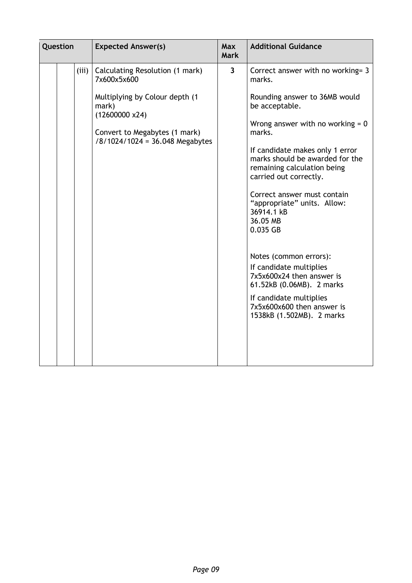| Question | <b>Expected Answer(s)</b>                                                                                                                                                               | <b>Max</b><br><b>Mark</b> | <b>Additional Guidance</b>                                                                                                                                                                                                                                                                                                                                                                                                                                                                                                                                                             |
|----------|-----------------------------------------------------------------------------------------------------------------------------------------------------------------------------------------|---------------------------|----------------------------------------------------------------------------------------------------------------------------------------------------------------------------------------------------------------------------------------------------------------------------------------------------------------------------------------------------------------------------------------------------------------------------------------------------------------------------------------------------------------------------------------------------------------------------------------|
| (iii)    | Calculating Resolution (1 mark)<br>7x600x5x600<br>Multiplying by Colour depth (1<br>mark)<br>$(12600000 \times 24)$<br>Convert to Megabytes (1 mark)<br>/8/1024/1024 = 36.048 Megabytes | $\overline{\mathbf{3}}$   | Correct answer with no working= 3<br>marks.<br>Rounding answer to 36MB would<br>be acceptable.<br>Wrong answer with no working $= 0$<br>marks.<br>If candidate makes only 1 error<br>marks should be awarded for the<br>remaining calculation being<br>carried out correctly.<br>Correct answer must contain<br>"appropriate" units. Allow:<br>36914.1 kB<br>36.05 MB<br>0.035 GB<br>Notes (common errors):<br>If candidate multiplies<br>7x5x600x24 then answer is<br>61.52kB (0.06MB). 2 marks<br>If candidate multiplies<br>7x5x600x600 then answer is<br>1538kB (1.502MB). 2 marks |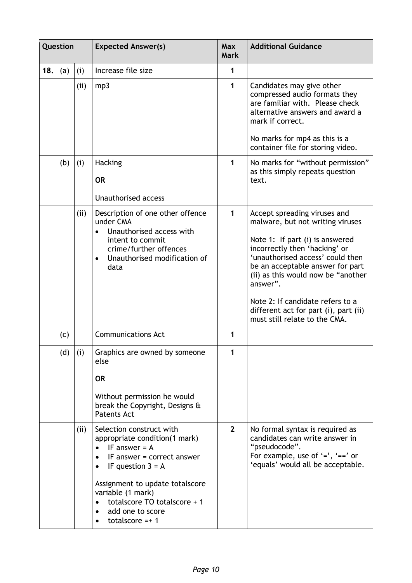| Question |     |      | <b>Expected Answer(s)</b>                                                                                                                                                                                                                                            | <b>Max</b><br><b>Mark</b> | <b>Additional Guidance</b>                                                                                                                                                                                                                                                                                                                                                   |
|----------|-----|------|----------------------------------------------------------------------------------------------------------------------------------------------------------------------------------------------------------------------------------------------------------------------|---------------------------|------------------------------------------------------------------------------------------------------------------------------------------------------------------------------------------------------------------------------------------------------------------------------------------------------------------------------------------------------------------------------|
| 18.      | (a) | (i)  | Increase file size                                                                                                                                                                                                                                                   | 1                         |                                                                                                                                                                                                                                                                                                                                                                              |
|          |     | (ii) | mp3                                                                                                                                                                                                                                                                  | 1                         | Candidates may give other<br>compressed audio formats they<br>are familiar with. Please check<br>alternative answers and award a<br>mark if correct.<br>No marks for mp4 as this is a<br>container file for storing video.                                                                                                                                                   |
|          | (b) | (i)  | <b>Hacking</b><br><b>OR</b><br><b>Unauthorised access</b>                                                                                                                                                                                                            | 1                         | No marks for "without permission"<br>as this simply repeats question<br>text.                                                                                                                                                                                                                                                                                                |
|          |     | (ii) | Description of one other offence<br>under CMA<br>Unauthorised access with<br>intent to commit<br>crime/further offences<br>Unauthorised modification of<br>$\bullet$<br>data                                                                                         | $\mathbf{1}$              | Accept spreading viruses and<br>malware, but not writing viruses<br>Note 1: If part (i) is answered<br>incorrectly then 'hacking' or<br>'unauthorised access' could then<br>be an acceptable answer for part<br>(ii) as this would now be "another<br>answer".<br>Note 2: If candidate refers to a<br>different act for part (i), part (ii)<br>must still relate to the CMA. |
|          | (c) |      | <b>Communications Act</b>                                                                                                                                                                                                                                            | 1                         |                                                                                                                                                                                                                                                                                                                                                                              |
|          | (d) | (i)  | Graphics are owned by someone<br>else<br><b>OR</b><br>Without permission he would<br>break the Copyright, Designs &<br><b>Patents Act</b>                                                                                                                            | 1                         |                                                                                                                                                                                                                                                                                                                                                                              |
|          |     | (ii) | Selection construct with<br>appropriate condition(1 mark)<br>IF answer $= A$<br>IF answer $=$ correct answer<br>IF question $3 = A$<br>Assignment to update totalscore<br>variable (1 mark)<br>totalscore TO totalscore + 1<br>add one to score<br>totalscore = $+1$ | $\overline{2}$            | No formal syntax is required as<br>candidates can write answer in<br>"pseudocode".<br>For example, use of $'=$ , $'=='$ or<br>'equals' would all be acceptable.                                                                                                                                                                                                              |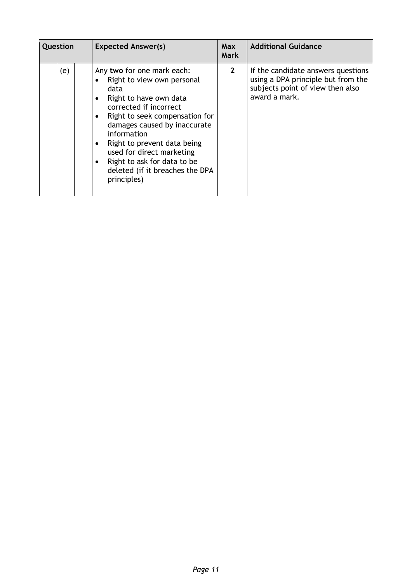| Question |     | <b>Expected Answer(s)</b>                                                                                                                                                                                                                                                                                                                          | <b>Max</b><br><b>Mark</b> | <b>Additional Guidance</b>                                                                                                    |
|----------|-----|----------------------------------------------------------------------------------------------------------------------------------------------------------------------------------------------------------------------------------------------------------------------------------------------------------------------------------------------------|---------------------------|-------------------------------------------------------------------------------------------------------------------------------|
|          | (e) | Any two for one mark each:<br>Right to view own personal<br>data<br>Right to have own data<br>corrected if incorrect<br>Right to seek compensation for<br>damages caused by inaccurate<br>information<br>Right to prevent data being<br>used for direct marketing<br>Right to ask for data to be<br>deleted (if it breaches the DPA<br>principles) | $\mathbf{2}$              | If the candidate answers questions<br>using a DPA principle but from the<br>subjects point of view then also<br>award a mark. |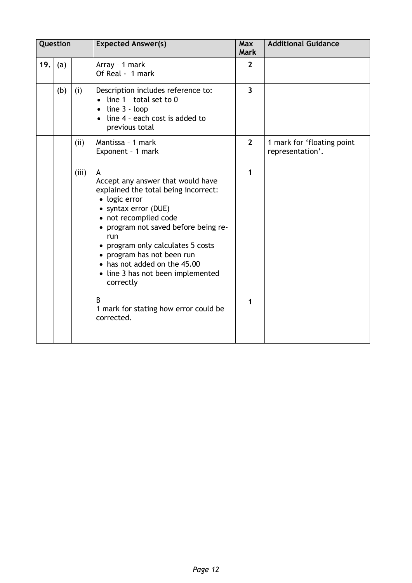|     | Question |       | <b>Expected Answer(s)</b>                                                                                                                                                                                                                                                                                                                                                                                    | <b>Max</b><br><b>Mark</b> | <b>Additional Guidance</b>                     |
|-----|----------|-------|--------------------------------------------------------------------------------------------------------------------------------------------------------------------------------------------------------------------------------------------------------------------------------------------------------------------------------------------------------------------------------------------------------------|---------------------------|------------------------------------------------|
| 19. | (a)      |       | Array - 1 mark<br>Of Real - 1 mark                                                                                                                                                                                                                                                                                                                                                                           | $\overline{2}$            |                                                |
|     | (b)      | (i)   | Description includes reference to:<br>line 1 - total set to 0<br>line 3 - loop<br>$\bullet$<br>line 4 - each cost is added to<br>previous total                                                                                                                                                                                                                                                              | $\overline{3}$            |                                                |
|     |          | (ii)  | Mantissa - 1 mark<br>Exponent - 1 mark                                                                                                                                                                                                                                                                                                                                                                       | $\overline{2}$            | 1 mark for 'floating point<br>representation'. |
|     |          | (iii) | A<br>Accept any answer that would have<br>explained the total being incorrect:<br>• logic error<br>• syntax error (DUE)<br>• not recompiled code<br>• program not saved before being re-<br>run<br>• program only calculates 5 costs<br>program has not been run<br>has not added on the 45.00<br>• line 3 has not been implemented<br>correctly<br>B<br>1 mark for stating how error could be<br>corrected. | 1<br>1                    |                                                |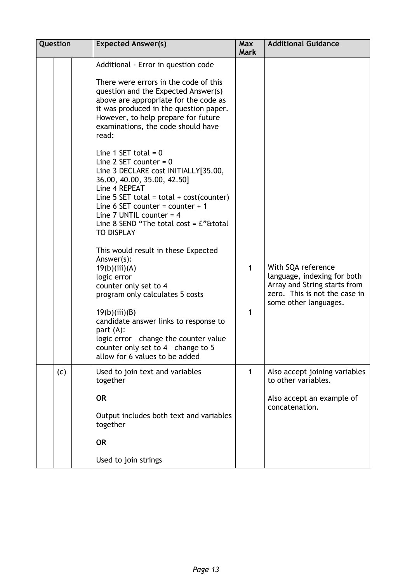| <b>Question</b> | <b>Expected Answer(s)</b>                                                                                                                                                                                                                                                                                                                                                                                                                                                                                                                                                                                                                                                                                                                                                                                                                                                                                                                                               | <b>Max</b><br><b>Mark</b> | <b>Additional Guidance</b>                                                                                                                  |
|-----------------|-------------------------------------------------------------------------------------------------------------------------------------------------------------------------------------------------------------------------------------------------------------------------------------------------------------------------------------------------------------------------------------------------------------------------------------------------------------------------------------------------------------------------------------------------------------------------------------------------------------------------------------------------------------------------------------------------------------------------------------------------------------------------------------------------------------------------------------------------------------------------------------------------------------------------------------------------------------------------|---------------------------|---------------------------------------------------------------------------------------------------------------------------------------------|
|                 | Additional - Error in question code<br>There were errors in the code of this<br>question and the Expected Answer(s)<br>above are appropriate for the code as<br>it was produced in the question paper.<br>However, to help prepare for future<br>examinations, the code should have<br>read:<br>Line 1 SET total = $0$<br>Line 2 SET counter = $0$<br>Line 3 DECLARE cost INITIALLY[35.00,<br>36.00, 40.00, 35.00, 42.50]<br>Line 4 REPEAT<br>Line 5 SET total = total + $cost(counter)$<br>Line 6 SET counter = counter + 1<br>Line 7 UNTIL counter = $4$<br>Line 8 SEND "The total cost = $E$ "&total<br><b>TO DISPLAY</b><br>This would result in these Expected<br>Answer(s):<br>19(b)(iii)(A)<br>logic error<br>counter only set to 4<br>program only calculates 5 costs<br>19(b)(iii)(B)<br>candidate answer links to response to<br>part (A):<br>logic error - change the counter value<br>counter only set to 4 - change to 5<br>allow for 6 values to be added | $\mathbf{1}$<br>1         | With SQA reference<br>language, indexing for both<br>Array and String starts from<br>zero. This is not the case in<br>some other languages. |
| (c)             | Used to join text and variables<br>together<br><b>OR</b><br>Output includes both text and variables<br>together<br><b>OR</b><br>Used to join strings                                                                                                                                                                                                                                                                                                                                                                                                                                                                                                                                                                                                                                                                                                                                                                                                                    | $\mathbf{1}$              | Also accept joining variables<br>to other variables.<br>Also accept an example of<br>concatenation.                                         |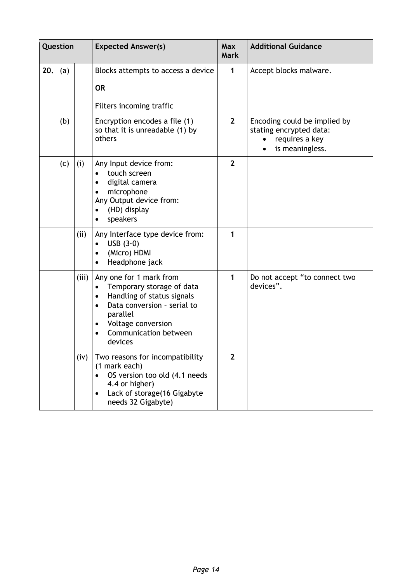|     | Question |       | <b>Expected Answer(s)</b>                                                                                                                                                                                                           | <b>Max</b><br><b>Mark</b> | <b>Additional Guidance</b>                                                                                |
|-----|----------|-------|-------------------------------------------------------------------------------------------------------------------------------------------------------------------------------------------------------------------------------------|---------------------------|-----------------------------------------------------------------------------------------------------------|
| 20. | (a)      |       | Blocks attempts to access a device<br><b>OR</b>                                                                                                                                                                                     | 1                         | Accept blocks malware.                                                                                    |
|     |          |       | Filters incoming traffic                                                                                                                                                                                                            |                           |                                                                                                           |
|     | (b)      |       | Encryption encodes a file (1)<br>so that it is unreadable (1) by<br>others                                                                                                                                                          | $\mathbf{2}$              | Encoding could be implied by<br>stating encrypted data:<br>requires a key<br>$\bullet$<br>is meaningless. |
|     | (c)      | (i)   | Any Input device from:<br>touch screen<br>$\bullet$<br>digital camera<br>microphone<br>Any Output device from:<br>(HD) display<br>speakers                                                                                          | $\overline{2}$            |                                                                                                           |
|     |          | (ii)  | Any Interface type device from:<br>USB $(3.0)$<br>$\bullet$<br>(Micro) HDMI<br>Headphone jack                                                                                                                                       | 1                         |                                                                                                           |
|     |          | (iii) | Any one for 1 mark from<br>Temporary storage of data<br>$\bullet$<br>Handling of status signals<br>$\bullet$<br>Data conversion - serial to<br>$\bullet$<br>parallel<br>Voltage conversion<br>٠<br>Communication between<br>devices | 1                         | Do not accept "to connect two<br>devices".                                                                |
|     |          | (iv)  | Two reasons for incompatibility<br>(1 mark each)<br>OS version too old (4.1 needs<br>4.4 or higher)<br>Lack of storage(16 Gigabyte<br>٠<br>needs 32 Gigabyte)                                                                       | $\overline{2}$            |                                                                                                           |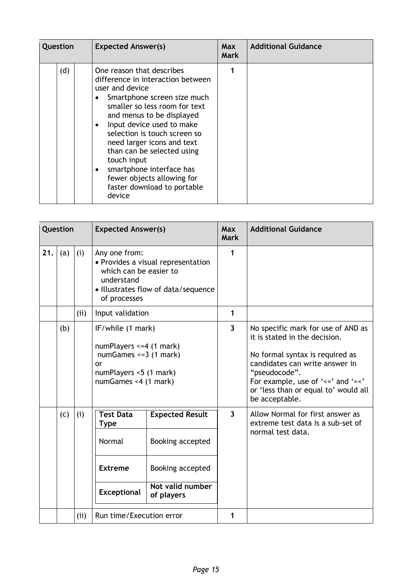| Question |     | <b>Expected Answer(s)</b>                                                                                                                                                                                                                                                                                                                                                                                                 | <b>Max</b><br><b>Mark</b> | <b>Additional Guidance</b> |
|----------|-----|---------------------------------------------------------------------------------------------------------------------------------------------------------------------------------------------------------------------------------------------------------------------------------------------------------------------------------------------------------------------------------------------------------------------------|---------------------------|----------------------------|
|          | (d) | One reason that describes<br>difference in interaction between<br>user and device<br>Smartphone screen size much<br>smaller so less room for text<br>and menus to be displayed<br>Input device used to make<br>selection is touch screen so<br>need larger icons and text<br>than can be selected using<br>touch input<br>smartphone interface has<br>fewer objects allowing for<br>faster download to portable<br>device |                           |                            |

| Question |     |     | <b>Expected Answer(s)</b>                                                                                                                          |                                                                                                                                | <b>Max</b><br><b>Mark</b> | <b>Additional Guidance</b>                                                                                                                                                                                                                                            |
|----------|-----|-----|----------------------------------------------------------------------------------------------------------------------------------------------------|--------------------------------------------------------------------------------------------------------------------------------|---------------------------|-----------------------------------------------------------------------------------------------------------------------------------------------------------------------------------------------------------------------------------------------------------------------|
| 21.      | (a) | (i) | Any one from:<br>• Provides a visual representation<br>which can be easier to<br>understand<br>· Illustrates flow of data/sequence<br>of processes |                                                                                                                                | 1                         |                                                                                                                                                                                                                                                                       |
|          |     | (i) | Input validation                                                                                                                                   |                                                                                                                                | $\mathbf{1}$              |                                                                                                                                                                                                                                                                       |
|          | (b) |     | or                                                                                                                                                 | IF/while (1 mark)<br>numPlayers <= 4 (1 mark)<br>numGames $\leq$ =3 (1 mark)<br>numPlayers <5 (1 mark)<br>numGames <4 (1 mark) |                           | No specific mark for use of AND as<br>it is stated in the decision.<br>No formal syntax is required as<br>candidates can write answer in<br>"pseudocode".<br>For example, use of ' $\leq$ ' and '= $\leq$ '<br>or 'less than or equal to' would all<br>be acceptable. |
|          | (c) | (i) | <b>Test Data</b><br><b>Type</b><br>Normal<br><b>Extreme</b><br><b>Exceptional</b>                                                                  | <b>Expected Result</b><br>Booking accepted<br>Booking accepted<br>Not valid number<br>of players                               | $\overline{\mathbf{3}}$   | Allow Normal for first answer as<br>extreme test data is a sub-set of<br>normal test data.                                                                                                                                                                            |
|          |     | (i) | Run time/Execution error                                                                                                                           |                                                                                                                                | 1                         |                                                                                                                                                                                                                                                                       |